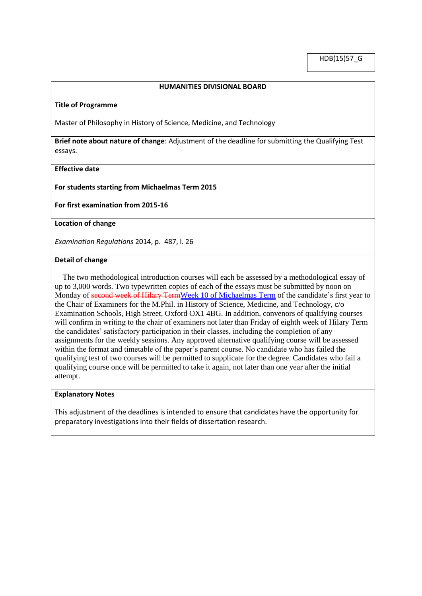### **HUMANITIES DIVISIONAL BOARD**

#### **Title of Programme**

Master of Philosophy in History of Science, Medicine, and Technology

**Brief note about nature of change**: Adjustment of the deadline for submitting the Qualifying Test essays.

### **Effective date**

**For students starting from Michaelmas Term 2015**

**For first examination from 2015-16** 

**Location of change**

*Examination Regulations* 2014, p. 487, l. 26

# **Detail of change**

 The two methodological introduction courses will each be assessed by a methodological essay of up to 3,000 words. Two typewritten copies of each of the essays must be submitted by noon on Monday of second week of Hilary TermWeek 10 of Michaelmas Term of the candidate's first year to the Chair of Examiners for the M.Phil. in History of Science, Medicine, and Technology, c/o Examination Schools, High Street, Oxford OX1 4BG. In addition, convenors of qualifying courses will confirm in writing to the chair of examiners not later than Friday of eighth week of Hilary Term the candidates' satisfactory participation in their classes, including the completion of any assignments for the weekly sessions. Any approved alternative qualifying course will be assessed within the format and timetable of the paper's parent course. No candidate who has failed the qualifying test of two courses will be permitted to supplicate for the degree. Candidates who fail a qualifying course once will be permitted to take it again, not later than one year after the initial attempt.

### **Explanatory Notes**

This adjustment of the deadlines is intended to ensure that candidates have the opportunity for preparatory investigations into their fields of dissertation research.